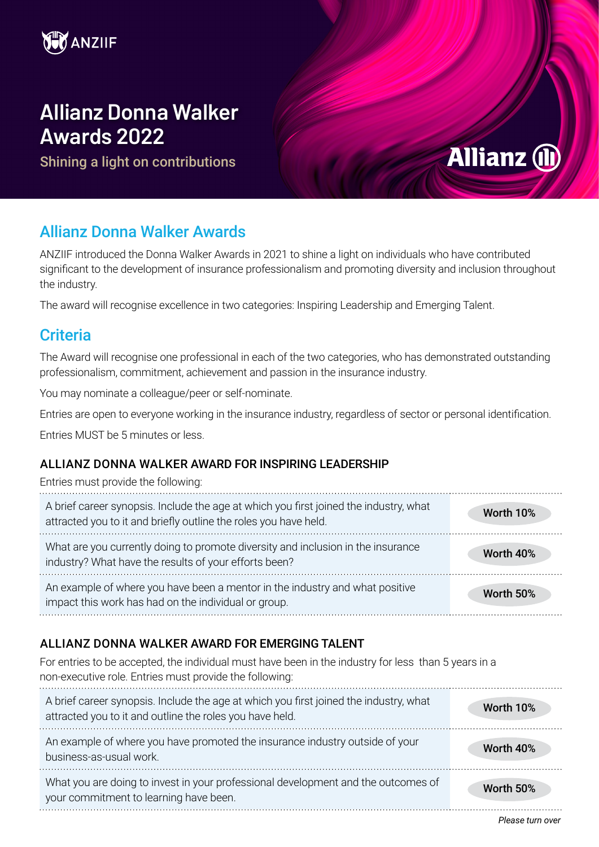

# **Allianz Donna Walker Awards 2022**

Shining a light on contributions

# **Allianz (II)**

# Allianz Donna Walker Awards

ANZIIF introduced the Donna Walker Awards in 2021 to shine a light on individuals who have contributed significant to the development of insurance professionalism and promoting diversity and inclusion throughout the industry.

The award will recognise excellence in two categories: Inspiring Leadership and Emerging Talent.

# **Criteria**

The Award will recognise one professional in each of the two categories, who has demonstrated outstanding professionalism, commitment, achievement and passion in the insurance industry.

You may nominate a colleague/peer or self-nominate.

Entries are open to everyone working in the insurance industry, regardless of sector or personal identification.

Entries MUST be 5 minutes or less.

## ALLIANZ DONNA WALKER AWARD FOR INSPIRING LEADERSHIP

| Entries must provide the following:                                                                                                                       |           |
|-----------------------------------------------------------------------------------------------------------------------------------------------------------|-----------|
| A brief career synopsis. Include the age at which you first joined the industry, what<br>attracted you to it and briefly outline the roles you have held. | Worth 10% |
| What are you currently doing to promote diversity and inclusion in the insurance<br>industry? What have the results of your efforts been?                 | Worth 40% |
| An example of where you have been a mentor in the industry and what positive<br>impact this work has had on the individual or group.                      | Worth 50% |

# ALLIANZ DONNA WALKER AWARD FOR EMERGING TALENT

For entries to be accepted, the individual must have been in the industry for less than 5 years in a non-executive role. Entries must provide the following:

| A brief career synopsis. Include the age at which you first joined the industry, what<br>attracted you to it and outline the roles you have held. | Worth 10% |
|---------------------------------------------------------------------------------------------------------------------------------------------------|-----------|
| An example of where you have promoted the insurance industry outside of your<br>business-as-usual work.                                           | Worth 40% |
| What you are doing to invest in your professional development and the outcomes of<br>your commitment to learning have been.                       | Worth 50% |